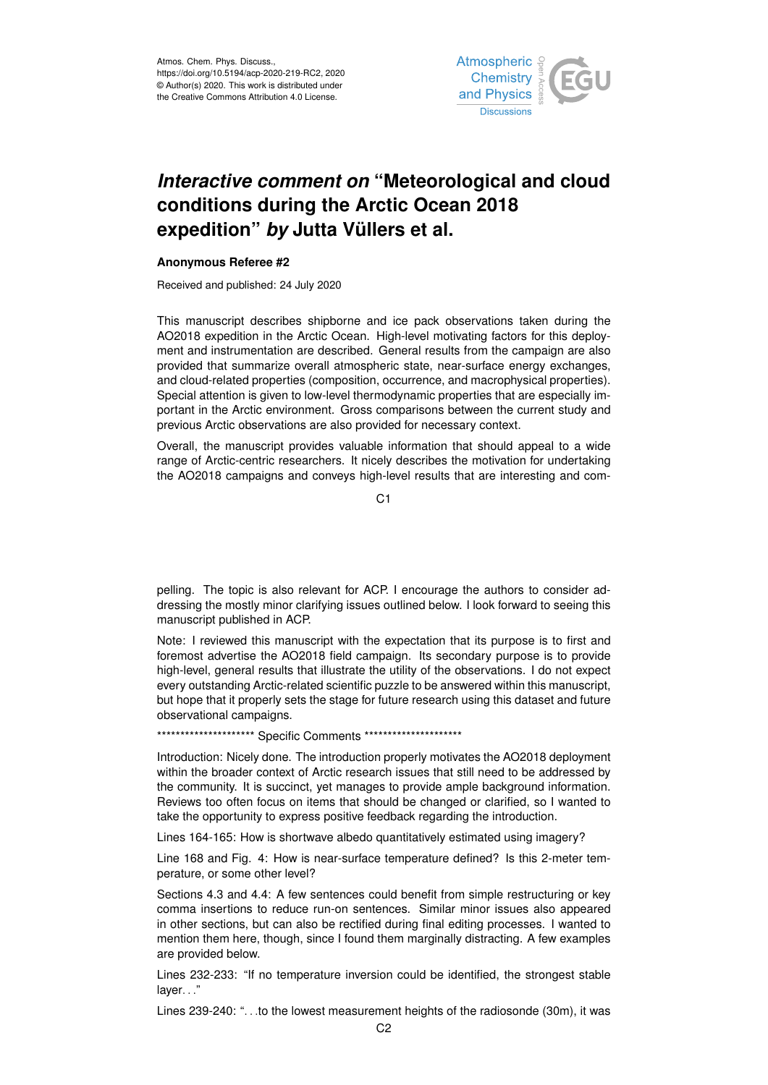

## *Interactive comment on* **"Meteorological and cloud conditions during the Arctic Ocean 2018 expedition"** *by* **Jutta Vüllers et al.**

## **Anonymous Referee #2**

Received and published: 24 July 2020

This manuscript describes shipborne and ice pack observations taken during the AO2018 expedition in the Arctic Ocean. High-level motivating factors for this deployment and instrumentation are described. General results from the campaign are also provided that summarize overall atmospheric state, near-surface energy exchanges, and cloud-related properties (composition, occurrence, and macrophysical properties). Special attention is given to low-level thermodynamic properties that are especially important in the Arctic environment. Gross comparisons between the current study and previous Arctic observations are also provided for necessary context.

Overall, the manuscript provides valuable information that should appeal to a wide range of Arctic-centric researchers. It nicely describes the motivation for undertaking the AO2018 campaigns and conveys high-level results that are interesting and com-

C<sub>1</sub>

pelling. The topic is also relevant for ACP. I encourage the authors to consider addressing the mostly minor clarifying issues outlined below. I look forward to seeing this manuscript published in ACP.

Note: I reviewed this manuscript with the expectation that its purpose is to first and foremost advertise the AO2018 field campaign. Its secondary purpose is to provide high-level, general results that illustrate the utility of the observations. I do not expect every outstanding Arctic-related scientific puzzle to be answered within this manuscript, but hope that it properly sets the stage for future research using this dataset and future observational campaigns.

\*\*\*\*\*\*\*\*\*\*\*\*\*\*\*\*\*\*\*\*\*\*\* Specific Comments \*\*\*\*\*\*\*\*\*\*\*\*\*\*\*\*\*\*\*\*\*\*

Introduction: Nicely done. The introduction properly motivates the AO2018 deployment within the broader context of Arctic research issues that still need to be addressed by the community. It is succinct, yet manages to provide ample background information. Reviews too often focus on items that should be changed or clarified, so I wanted to take the opportunity to express positive feedback regarding the introduction.

Lines 164-165: How is shortwave albedo quantitatively estimated using imagery?

Line 168 and Fig. 4: How is near-surface temperature defined? Is this 2-meter temperature, or some other level?

Sections 4.3 and 4.4: A few sentences could benefit from simple restructuring or key comma insertions to reduce run-on sentences. Similar minor issues also appeared in other sections, but can also be rectified during final editing processes. I wanted to mention them here, though, since I found them marginally distracting. A few examples are provided below.

Lines 232-233: "If no temperature inversion could be identified, the strongest stable layer..."

Lines 239-240: ". . .to the lowest measurement heights of the radiosonde (30m), it was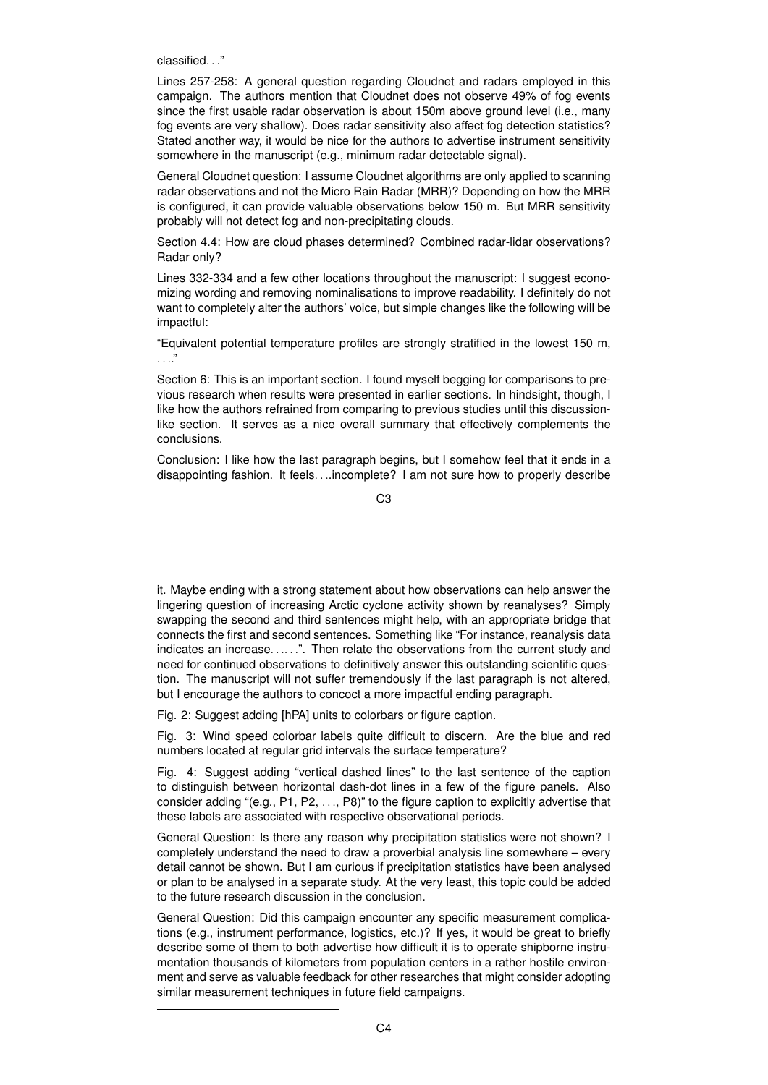classified. . ."

Lines 257-258: A general question regarding Cloudnet and radars employed in this campaign. The authors mention that Cloudnet does not observe 49% of fog events since the first usable radar observation is about 150m above ground level (i.e., many fog events are very shallow). Does radar sensitivity also affect fog detection statistics? Stated another way, it would be nice for the authors to advertise instrument sensitivity somewhere in the manuscript (e.g., minimum radar detectable signal).

General Cloudnet question: I assume Cloudnet algorithms are only applied to scanning radar observations and not the Micro Rain Radar (MRR)? Depending on how the MRR is configured, it can provide valuable observations below 150 m. But MRR sensitivity probably will not detect fog and non-precipitating clouds.

Section 4.4: How are cloud phases determined? Combined radar-lidar observations? Radar only?

Lines 332-334 and a few other locations throughout the manuscript: I suggest economizing wording and removing nominalisations to improve readability. I definitely do not want to completely alter the authors' voice, but simple changes like the following will be impactful:

"Equivalent potential temperature profiles are strongly stratified in the lowest 150 m, . . .."

Section 6: This is an important section. I found myself begging for comparisons to previous research when results were presented in earlier sections. In hindsight, though, I like how the authors refrained from comparing to previous studies until this discussionlike section. It serves as a nice overall summary that effectively complements the conclusions.

Conclusion: I like how the last paragraph begins, but I somehow feel that it ends in a disappointing fashion. It feels. . ..incomplete? I am not sure how to properly describe

C3

it. Maybe ending with a strong statement about how observations can help answer the lingering question of increasing Arctic cyclone activity shown by reanalyses? Simply swapping the second and third sentences might help, with an appropriate bridge that connects the first and second sentences. Something like "For instance, reanalysis data indicates an increase......". Then relate the observations from the current study and need for continued observations to definitively answer this outstanding scientific question. The manuscript will not suffer tremendously if the last paragraph is not altered, but I encourage the authors to concoct a more impactful ending paragraph.

Fig. 2: Suggest adding [hPA] units to colorbars or figure caption.

Fig. 3: Wind speed colorbar labels quite difficult to discern. Are the blue and red numbers located at regular grid intervals the surface temperature?

Fig. 4: Suggest adding "vertical dashed lines" to the last sentence of the caption to distinguish between horizontal dash-dot lines in a few of the figure panels. Also consider adding "(e.g., P1, P2, . . ., P8)" to the figure caption to explicitly advertise that these labels are associated with respective observational periods.

General Question: Is there any reason why precipitation statistics were not shown? I completely understand the need to draw a proverbial analysis line somewhere – every detail cannot be shown. But I am curious if precipitation statistics have been analysed or plan to be analysed in a separate study. At the very least, this topic could be added to the future research discussion in the conclusion.

General Question: Did this campaign encounter any specific measurement complications (e.g., instrument performance, logistics, etc.)? If yes, it would be great to briefly describe some of them to both advertise how difficult it is to operate shipborne instrumentation thousands of kilometers from population centers in a rather hostile environment and serve as valuable feedback for other researches that might consider adopting similar measurement techniques in future field campaigns.